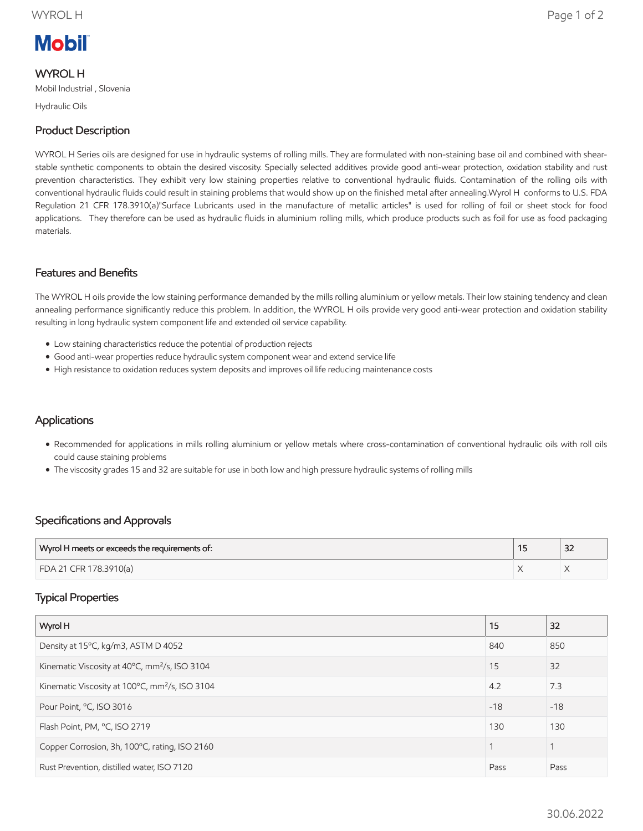# **Mobil**

### WYROL H

Mobil Industrial , Slovenia

Hydraulic Oils

### Product Description

WYROL H Series oils are designed for use in hydraulic systems of rolling mills. They are formulated with non-staining base oil and combined with shearstable synthetic components to obtain the desired viscosity. Specially selected additives provide good anti-wear protection, oxidation stability and rust prevention characteristics. They exhibit very low staining properties relative to conventional hydraulic fluids. Contamination of the rolling oils with conventional hydraulic fluids could result in staining problems that would show up on the finished metal after annealing.Wyrol H conforms to U.S. FDA Regulation 21 CFR 178.3910(a)"Surface Lubricants used in the manufacture of metallic articles" is used for rolling of foil or sheet stock for food applications. They therefore can be used as hydraulic fluids in aluminium rolling mills, which produce products such as foil for use as food packaging materials.

#### Features and Benefits

The WYROL H oils provide the low staining performance demanded by the mills rolling aluminium or yellow metals. Their low staining tendency and clean annealing performance significantly reduce this problem. In addition, the WYROL H oils provide very good anti-wear protection and oxidation stability resulting in long hydraulic system component life and extended oil service capability.

- Low staining characteristics reduce the potential of production rejects
- Good anti-wear properties reduce hydraulic system component wear and extend service life
- High resistance to oxidation reduces system deposits and improves oil life reducing maintenance costs

#### **Applications**

- Recommended for applications in mills rolling aluminium or yellow metals where cross-contamination of conventional hydraulic oils with roll oils could cause staining problems
- The viscosity grades 15 and 32 are suitable for use in both low and high pressure hydraulic systems of rolling mills

#### Specifications and Approvals

| Wyrol H meets or exceeds the requirements of: | $\sim$<br>ےر |
|-----------------------------------------------|--------------|
| FDA 21 CFR 178.3910(a)                        |              |

#### Typical Properties

| Wyrol H                                                    | 15    | 32    |
|------------------------------------------------------------|-------|-------|
| Density at 15°C, kg/m3, ASTM D 4052                        | 840   | 850   |
| Kinematic Viscosity at 40°C, mm <sup>2</sup> /s, ISO 3104  | 15    | 32    |
| Kinematic Viscosity at 100°C, mm <sup>2</sup> /s, ISO 3104 | 4.2   | 7.3   |
| Pour Point, °C, ISO 3016                                   | $-18$ | $-18$ |
| Flash Point, PM, °C, ISO 2719                              | 130   | 130   |
| Copper Corrosion, 3h, 100°C, rating, ISO 2160              |       |       |
| Rust Prevention, distilled water, ISO 7120                 | Pass  | Pass  |